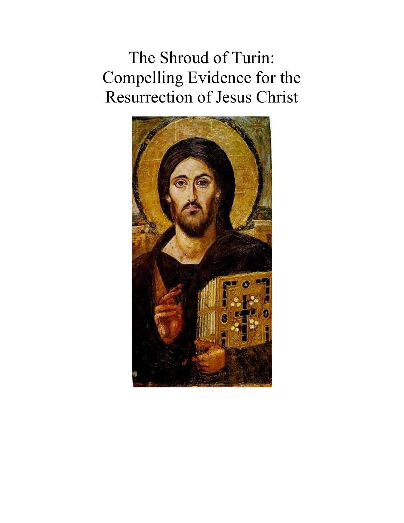The Shroud of Turin: Compelling Evidence for the Resurrection of Jesus Christ

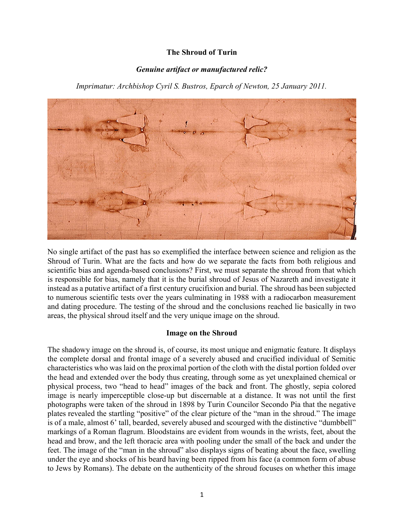# The Shroud of Turin

## Genuine artifact or manufactured relic?

Imprimatur: Archbishop Cyril S. Bustros, Eparch of Newton, 25 January 2011.



No single artifact of the past has so exemplified the interface between science and religion as the Shroud of Turin. What are the facts and how do we separate the facts from both religious and scientific bias and agenda-based conclusions? First, we must separate the shroud from that which is responsible for bias, namely that it is the burial shroud of Jesus of Nazareth and investigate it instead as a putative artifact of a first century crucifixion and burial. The shroud has been subjected to numerous scientific tests over the years culminating in 1988 with a radiocarbon measurement and dating procedure. The testing of the shroud and the conclusions reached lie basically in two areas, the physical shroud itself and the very unique image on the shroud.

### Image on the Shroud

The shadowy image on the shroud is, of course, its most unique and enigmatic feature. It displays the complete dorsal and frontal image of a severely abused and crucified individual of Semitic characteristics who was laid on the proximal portion of the cloth with the distal portion folded over the head and extended over the body thus creating, through some as yet unexplained chemical or physical process, two "head to head" images of the back and front. The ghostly, sepia colored image is nearly imperceptible close-up but discernable at a distance. It was not until the first photographs were taken of the shroud in 1898 by Turin Councilor Secondo Pia that the negative plates revealed the startling "positive" of the clear picture of the "man in the shroud." The image is of a male, almost 6' tall, bearded, severely abused and scourged with the distinctive "dumbbell" markings of a Roman flagrum. Bloodstains are evident from wounds in the wrists, feet, about the head and brow, and the left thoracic area with pooling under the small of the back and under the feet. The image of the "man in the shroud" also displays signs of beating about the face, swelling under the eye and shocks of his beard having been ripped from his face (a common form of abuse to Jews by Romans). The debate on the authenticity of the shroud focuses on whether this image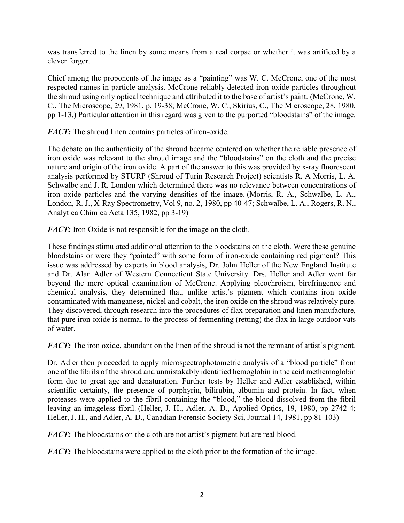was transferred to the linen by some means from a real corpse or whether it was artificed by a clever forger.

Chief among the proponents of the image as a "painting" was W. C. McCrone, one of the most respected names in particle analysis. McCrone reliably detected iron-oxide particles throughout the shroud using only optical technique and attributed it to the base of artist's paint. (McCrone, W. C., The Microscope, 29, 1981, p. 19-38; McCrone, W. C., Skirius, C., The Microscope, 28, 1980, pp 1-13.) Particular attention in this regard was given to the purported "bloodstains" of the image.

FACT: The shroud linen contains particles of iron-oxide.

The debate on the authenticity of the shroud became centered on whether the reliable presence of iron oxide was relevant to the shroud image and the "bloodstains" on the cloth and the precise nature and origin of the iron oxide. A part of the answer to this was provided by x-ray fluorescent analysis performed by STURP (Shroud of Turin Research Project) scientists R. A Morris, L. A. Schwalbe and J. R. London which determined there was no relevance between concentrations of iron oxide particles and the varying densities of the image. (Morris, R. A., Schwalbe, L. A., London, R. J., X-Ray Spectrometry, Vol 9, no. 2, 1980, pp 40-47; Schwalbe, L. A., Rogers, R. N., Analytica Chimica Acta 135, 1982, pp 3-19)

FACT: Iron Oxide is not responsible for the image on the cloth.

These findings stimulated additional attention to the bloodstains on the cloth. Were these genuine bloodstains or were they "painted" with some form of iron-oxide containing red pigment? This issue was addressed by experts in blood analysis, Dr. John Heller of the New England Institute and Dr. Alan Adler of Western Connecticut State University. Drs. Heller and Adler went far beyond the mere optical examination of McCrone. Applying pleochroism, birefringence and chemical analysis, they determined that, unlike artist's pigment which contains iron oxide contaminated with manganese, nickel and cobalt, the iron oxide on the shroud was relatively pure. They discovered, through research into the procedures of flax preparation and linen manufacture, that pure iron oxide is normal to the process of fermenting (retting) the flax in large outdoor vats of water.

FACT: The iron oxide, abundant on the linen of the shroud is not the remnant of artist's pigment.

Dr. Adler then proceeded to apply microspectrophotometric analysis of a "blood particle" from one of the fibrils of the shroud and unmistakably identified hemoglobin in the acid methemoglobin form due to great age and denaturation. Further tests by Heller and Adler established, within scientific certainty, the presence of porphyrin, bilirubin, albumin and protein. In fact, when proteases were applied to the fibril containing the "blood," the blood dissolved from the fibril leaving an imageless fibril. (Heller, J. H., Adler, A. D., Applied Optics, 19, 1980, pp 2742-4; Heller, J. H., and Adler, A. D., Canadian Forensic Society Sci, Journal 14, 1981, pp 81-103)

**FACT:** The bloodstains on the cloth are not artist's pigment but are real blood.

FACT: The bloodstains were applied to the cloth prior to the formation of the image.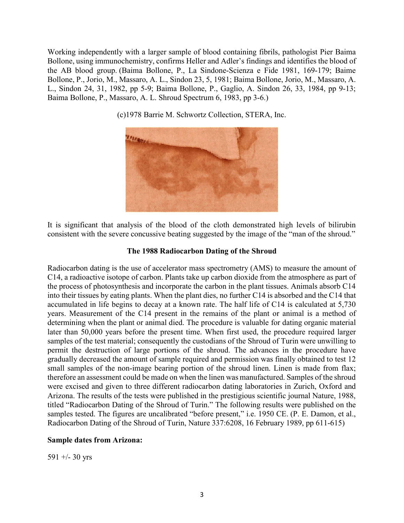Working independently with a larger sample of blood containing fibrils, pathologist Pier Baima Bollone, using immunochemistry, confirms Heller and Adler's findings and identifies the blood of the AB blood group. (Baima Bollone, P., La Sindone-Scienza e Fide 1981, 169-179; Baime Bollone, P., Jorio, M., Massaro, A. L., Sindon 23, 5, 1981; Baima Bollone, Jorio, M., Massaro, A. L., Sindon 24, 31, 1982, pp 5-9; Baima Bollone, P., Gaglio, A. Sindon 26, 33, 1984, pp 9-13; Baima Bollone, P., Massaro, A. L. Shroud Spectrum 6, 1983, pp 3-6.)



(c)1978 Barrie M. Schwortz Collection, STERA, Inc.

It is significant that analysis of the blood of the cloth demonstrated high levels of bilirubin consistent with the severe concussive beating suggested by the image of the "man of the shroud."

#### The 1988 Radiocarbon Dating of the Shroud

Radiocarbon dating is the use of accelerator mass spectrometry (AMS) to measure the amount of C14, a radioactive isotope of carbon. Plants take up carbon dioxide from the atmosphere as part of the process of photosynthesis and incorporate the carbon in the plant tissues. Animals absorb C14 into their tissues by eating plants. When the plant dies, no further C14 is absorbed and the C14 that accumulated in life begins to decay at a known rate. The half life of C14 is calculated at 5,730 years. Measurement of the C14 present in the remains of the plant or animal is a method of determining when the plant or animal died. The procedure is valuable for dating organic material later than 50,000 years before the present time. When first used, the procedure required larger samples of the test material; consequently the custodians of the Shroud of Turin were unwilling to permit the destruction of large portions of the shroud. The advances in the procedure have gradually decreased the amount of sample required and permission was finally obtained to test 12 small samples of the non-image bearing portion of the shroud linen. Linen is made from flax; therefore an assessment could be made on when the linen was manufactured. Samples of the shroud were excised and given to three different radiocarbon dating laboratories in Zurich, Oxford and Arizona. The results of the tests were published in the prestigious scientific journal Nature, 1988, titled "Radiocarbon Dating of the Shroud of Turin." The following results were published on the samples tested. The figures are uncalibrated "before present," i.e. 1950 CE. (P. E. Damon, et al., Radiocarbon Dating of the Shroud of Turin, Nature 337:6208, 16 February 1989, pp 611-615)

### Sample dates from Arizona:

591 +/- 30 yrs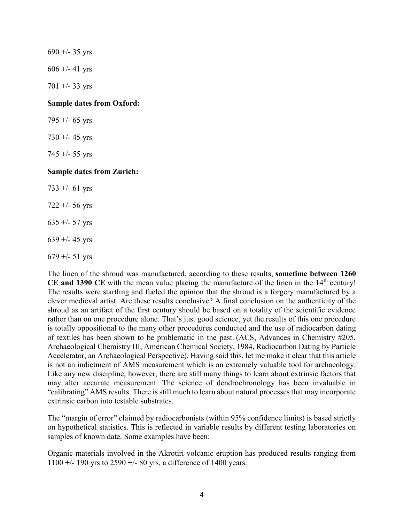$690 +/- 35$  yrs  $606 + (-41)$  yrs  $701 + -33$  yrs Sample dates from Oxford: 795 +/- 65 yrs 730 +/- 45 yrs 745 +/- 55 yrs Sample dates from Zurich: 733 +/- 61 yrs  $722 + 56$  yrs 635 +/- 57 yrs  $639 + (-45 \text{ yrs})$ 

 $679 + (-51$  yrs

The linen of the shroud was manufactured, according to these results, sometime between 1260 CE and 1390 CE with the mean value placing the manufacture of the linen in the  $14<sup>th</sup>$  century! The results were startling and fueled the opinion that the shroud is a forgery manufactured by a clever medieval artist. Are these results conclusive? A final conclusion on the authenticity of the shroud as an artifact of the first century should be based on a totality of the scientific evidence rather than on one procedure alone. That's just good science, yet the results of this one procedure is totally oppositional to the many other procedures conducted and the use of radiocarbon dating of textiles has been shown to be problematic in the past. (ACS, Advances in Chemistry #205, Archaeological Chemistry III, American Chemical Society, 1984, Radiocarbon Dating by Particle Accelerator, an Archaeological Perspective). Having said this, let me make it clear that this article is not an indictment of AMS measurement which is an extremely valuable tool for archaeology. Like any new discipline, however, there are still many things to learn about extrinsic factors that may alter accurate measurement. The science of dendrochronology has been invaluable in "calibrating" AMS results. There is still much to learn about natural processes that may incorporate extrinsic carbon into testable substrates.

The "margin of error" claimed by radiocarbonists (within 95% confidence limits) is based strictly on hypothetical statistics. This is reflected in variable results by different testing laboratories on samples of known date. Some examples have been:

Organic materials involved in the Akrotiri volcanic eruption has produced results ranging from 1100  $\pm$ /- 190 yrs to 2590  $\pm$ /- 80 yrs, a difference of 1400 years.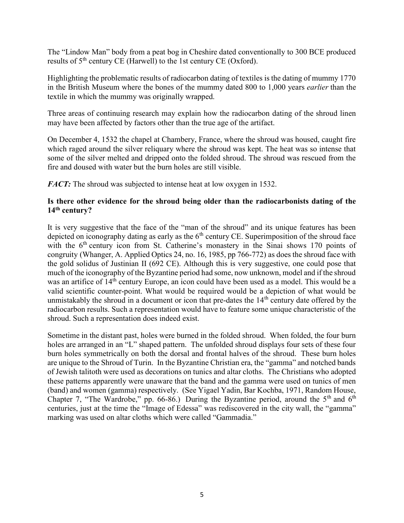The "Lindow Man" body from a peat bog in Cheshire dated conventionally to 300 BCE produced results of  $5<sup>th</sup>$  century CE (Harwell) to the 1st century CE (Oxford).

Highlighting the problematic results of radiocarbon dating of textiles is the dating of mummy 1770 in the British Museum where the bones of the mummy dated 800 to 1,000 years earlier than the textile in which the mummy was originally wrapped.

Three areas of continuing research may explain how the radiocarbon dating of the shroud linen may have been affected by factors other than the true age of the artifact.

On December 4, 1532 the chapel at Chambery, France, where the shroud was housed, caught fire which raged around the silver reliquary where the shroud was kept. The heat was so intense that some of the silver melted and dripped onto the folded shroud. The shroud was rescued from the fire and doused with water but the burn holes are still visible.

FACT: The shroud was subjected to intense heat at low oxygen in 1532.

# Is there other evidence for the shroud being older than the radiocarbonists dating of the 14<sup>th</sup> century?

It is very suggestive that the face of the "man of the shroud" and its unique features has been depicted on iconography dating as early as the  $6<sup>th</sup>$  century CE. Superimposition of the shroud face with the  $6<sup>th</sup>$  century icon from St. Catherine's monastery in the Sinai shows 170 points of congruity (Whanger, A. Applied Optics 24, no. 16, 1985, pp 766-772) as does the shroud face with the gold solidus of Justinian II (692 CE). Although this is very suggestive, one could pose that much of the iconography of the Byzantine period had some, now unknown, model and if the shroud was an artifice of 14<sup>th</sup> century Europe, an icon could have been used as a model. This would be a valid scientific counter-point. What would be required would be a depiction of what would be unmistakably the shroud in a document or icon that pre-dates the 14<sup>th</sup> century date offered by the radiocarbon results. Such a representation would have to feature some unique characteristic of the shroud. Such a representation does indeed exist.

Sometime in the distant past, holes were burned in the folded shroud. When folded, the four burn holes are arranged in an "L" shaped pattern. The unfolded shroud displays four sets of these four burn holes symmetrically on both the dorsal and frontal halves of the shroud. These burn holes are unique to the Shroud of Turin. In the Byzantine Christian era, the "gamma" and notched bands of Jewish talitoth were used as decorations on tunics and altar cloths. The Christians who adopted these patterns apparently were unaware that the band and the gamma were used on tunics of men (band) and women (gamma) respectively. (See Yigael Yadin, Bar Kochba, 1971, Random House, Chapter 7, "The Wardrobe," pp. 66-86.) During the Byzantine period, around the  $5<sup>th</sup>$  and  $6<sup>th</sup>$ centuries, just at the time the "Image of Edessa" was rediscovered in the city wall, the "gamma" marking was used on altar cloths which were called "Gammadia."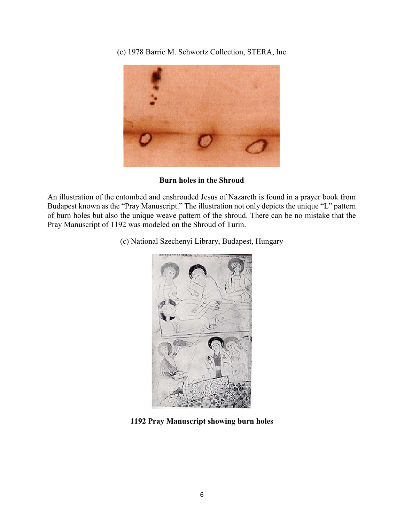(c) 1978 Barrie M. Schwortz Collection, STERA, Inc



Burn holes in the Shroud

An illustration of the entombed and enshrouded Jesus of Nazareth is found in a prayer book from Budapest known as the "Pray Manuscript." The illustration not only depicts the unique "L" pattern of burn holes but also the unique weave pattern of the shroud. There can be no mistake that the Pray Manuscript of 1192 was modeled on the Shroud of Turin.

(c) National Szechenyi Library, Budapest, Hungary



1192 Pray Manuscript showing burn holes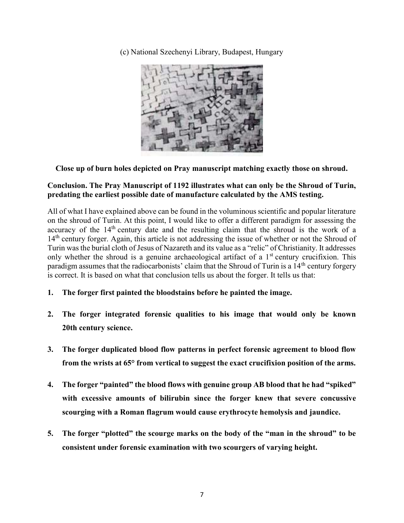(c) National Szechenyi Library, Budapest, Hungary



# Close up of burn holes depicted on Pray manuscript matching exactly those on shroud.

# Conclusion. The Pray Manuscript of 1192 illustrates what can only be the Shroud of Turin, predating the earliest possible date of manufacture calculated by the AMS testing.

All of what I have explained above can be found in the voluminous scientific and popular literature on the shroud of Turin. At this point, I would like to offer a different paradigm for assessing the accuracy of the 14<sup>th</sup> century date and the resulting claim that the shroud is the work of a 14<sup>th</sup> century forger. Again, this article is not addressing the issue of whether or not the Shroud of Turin was the burial cloth of Jesus of Nazareth and its value as a "relic" of Christianity. It addresses only whether the shroud is a genuine archaeological artifact of a  $1<sup>st</sup>$  century crucifixion. This paradigm assumes that the radiocarbonists' claim that the Shroud of Turin is a  $14<sup>th</sup>$  century forgery is correct. It is based on what that conclusion tells us about the forger. It tells us that:

- 1. The forger first painted the bloodstains before he painted the image.
- 2. The forger integrated forensic qualities to his image that would only be known 20th century science.
- 3. The forger duplicated blood flow patterns in perfect forensic agreement to blood flow from the wrists at 65° from vertical to suggest the exact crucifixion position of the arms.
- 4. The forger "painted" the blood flows with genuine group AB blood that he had "spiked" with excessive amounts of bilirubin since the forger knew that severe concussive scourging with a Roman flagrum would cause erythrocyte hemolysis and jaundice.
- 5. The forger "plotted" the scourge marks on the body of the "man in the shroud" to be consistent under forensic examination with two scourgers of varying height.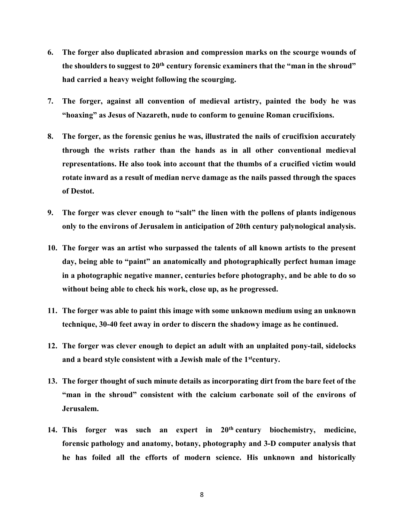- 6. The forger also duplicated abrasion and compression marks on the scourge wounds of the shoulders to suggest to 20<sup>th</sup> century forensic examiners that the "man in the shroud" had carried a heavy weight following the scourging.
- 7. The forger, against all convention of medieval artistry, painted the body he was "hoaxing" as Jesus of Nazareth, nude to conform to genuine Roman crucifixions.
- 8. The forger, as the forensic genius he was, illustrated the nails of crucifixion accurately through the wrists rather than the hands as in all other conventional medieval representations. He also took into account that the thumbs of a crucified victim would rotate inward as a result of median nerve damage as the nails passed through the spaces of Destot.
- 9. The forger was clever enough to "salt" the linen with the pollens of plants indigenous only to the environs of Jerusalem in anticipation of 20th century palynological analysis.
- 10. The forger was an artist who surpassed the talents of all known artists to the present day, being able to "paint" an anatomically and photographically perfect human image in a photographic negative manner, centuries before photography, and be able to do so without being able to check his work, close up, as he progressed.
- 11. The forger was able to paint this image with some unknown medium using an unknown technique, 30-40 feet away in order to discern the shadowy image as he continued.
- 12. The forger was clever enough to depict an adult with an unplaited pony-tail, sidelocks and a beard style consistent with a Jewish male of the 1<sup>st</sup>century.
- 13. The forger thought of such minute details as incorporating dirt from the bare feet of the "man in the shroud" consistent with the calcium carbonate soil of the environs of Jerusalem.
- 14. This forger was such an expert in 20th century biochemistry, medicine, forensic pathology and anatomy, botany, photography and 3-D computer analysis that he has foiled all the efforts of modern science. His unknown and historically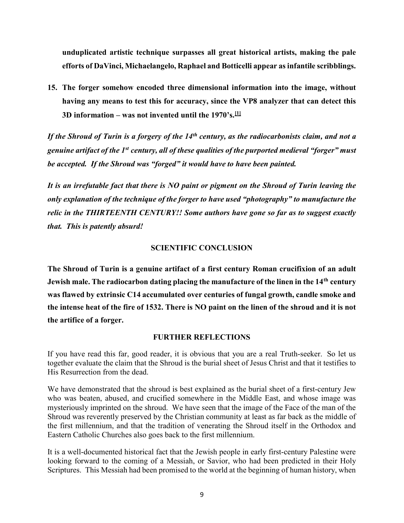unduplicated artistic technique surpasses all great historical artists, making the pale efforts of DaVinci, Michaelangelo, Raphael and Botticelli appear as infantile scribblings.

15. The forger somehow encoded three dimensional information into the image, without having any means to test this for accuracy, since the VP8 analyzer that can detect this 3D information – was not invented until the 1970's.  $\mathbb{H}$ 

If the Shroud of Turin is a forgery of the  $14<sup>th</sup>$  century, as the radiocarbonists claim, and not a genuine artifact of the 1<sup>st</sup> century, all of these qualities of the purported medieval "forger" must be accepted. If the Shroud was "forged" it would have to have been painted.

It is an irrefutable fact that there is NO paint or pigment on the Shroud of Turin leaving the only explanation of the technique of the forger to have used "photography" to manufacture the relic in the THIRTEENTH CENTURY!! Some authors have gone so far as to suggest exactly that. This is patently absurd!

### SCIENTIFIC CONCLUSION

The Shroud of Turin is a genuine artifact of a first century Roman crucifixion of an adult Jewish male. The radiocarbon dating placing the manufacture of the linen in the 14<sup>th</sup> century was flawed by extrinsic C14 accumulated over centuries of fungal growth, candle smoke and the intense heat of the fire of 1532. There is NO paint on the linen of the shroud and it is not the artifice of a forger.

### FURTHER REFLECTIONS

If you have read this far, good reader, it is obvious that you are a real Truth-seeker. So let us together evaluate the claim that the Shroud is the burial sheet of Jesus Christ and that it testifies to His Resurrection from the dead.

We have demonstrated that the shroud is best explained as the burial sheet of a first-century Jew who was beaten, abused, and crucified somewhere in the Middle East, and whose image was mysteriously imprinted on the shroud. We have seen that the image of the Face of the man of the Shroud was reverently preserved by the Christian community at least as far back as the middle of the first millennium, and that the tradition of venerating the Shroud itself in the Orthodox and Eastern Catholic Churches also goes back to the first millennium.

It is a well-documented historical fact that the Jewish people in early first-century Palestine were looking forward to the coming of a Messiah, or Savior, who had been predicted in their Holy Scriptures. This Messiah had been promised to the world at the beginning of human history, when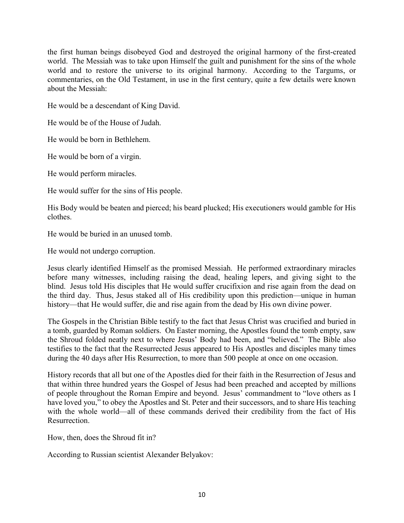the first human beings disobeyed God and destroyed the original harmony of the first-created world. The Messiah was to take upon Himself the guilt and punishment for the sins of the whole world and to restore the universe to its original harmony. According to the Targums, or commentaries, on the Old Testament, in use in the first century, quite a few details were known about the Messiah:

He would be a descendant of King David.

He would be of the House of Judah.

He would be born in Bethlehem.

He would be born of a virgin.

He would perform miracles.

He would suffer for the sins of His people.

His Body would be beaten and pierced; his beard plucked; His executioners would gamble for His clothes.

He would be buried in an unused tomb.

He would not undergo corruption.

Jesus clearly identified Himself as the promised Messiah. He performed extraordinary miracles before many witnesses, including raising the dead, healing lepers, and giving sight to the blind. Jesus told His disciples that He would suffer crucifixion and rise again from the dead on the third day. Thus, Jesus staked all of His credibility upon this prediction—unique in human history—that He would suffer, die and rise again from the dead by His own divine power.

The Gospels in the Christian Bible testify to the fact that Jesus Christ was crucified and buried in a tomb, guarded by Roman soldiers. On Easter morning, the Apostles found the tomb empty, saw the Shroud folded neatly next to where Jesus' Body had been, and "believed." The Bible also testifies to the fact that the Resurrected Jesus appeared to His Apostles and disciples many times during the 40 days after His Resurrection, to more than 500 people at once on one occasion.

History records that all but one of the Apostles died for their faith in the Resurrection of Jesus and that within three hundred years the Gospel of Jesus had been preached and accepted by millions of people throughout the Roman Empire and beyond. Jesus' commandment to "love others as I have loved you," to obey the Apostles and St. Peter and their successors, and to share His teaching with the whole world—all of these commands derived their credibility from the fact of His Resurrection.

How, then, does the Shroud fit in?

According to Russian scientist Alexander Belyakov: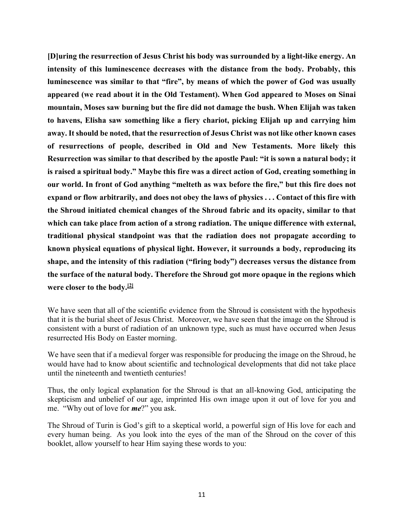[D]uring the resurrection of Jesus Christ his body was surrounded by a light-like energy. An intensity of this luminescence decreases with the distance from the body. Probably, this luminescence was similar to that "fire", by means of which the power of God was usually appeared (we read about it in the Old Testament). When God appeared to Moses on Sinai mountain, Moses saw burning but the fire did not damage the bush. When Elijah was taken to havens, Elisha saw something like a fiery chariot, picking Elijah up and carrying him away. It should be noted, that the resurrection of Jesus Christ was not like other known cases of resurrections of people, described in Old and New Testaments. More likely this Resurrection was similar to that described by the apostle Paul: "it is sown a natural body; it is raised a spiritual body." Maybe this fire was a direct action of God, creating something in our world. In front of God anything "melteth as wax before the fire," but this fire does not expand or flow arbitrarily, and does not obey the laws of physics . . . Contact of this fire with the Shroud initiated chemical changes of the Shroud fabric and its opacity, similar to that which can take place from action of a strong radiation. The unique difference with external, traditional physical standpoint was that the radiation does not propagate according to known physical equations of physical light. However, it surrounds a body, reproducing its shape, and the intensity of this radiation ("firing body") decreases versus the distance from the surface of the natural body. Therefore the Shroud got more opaque in the regions which were closer to the body.[2]

We have seen that all of the scientific evidence from the Shroud is consistent with the hypothesis that it is the burial sheet of Jesus Christ. Moreover, we have seen that the image on the Shroud is consistent with a burst of radiation of an unknown type, such as must have occurred when Jesus resurrected His Body on Easter morning.

We have seen that if a medieval forger was responsible for producing the image on the Shroud, he would have had to know about scientific and technological developments that did not take place until the nineteenth and twentieth centuries!

Thus, the only logical explanation for the Shroud is that an all-knowing God, anticipating the skepticism and unbelief of our age, imprinted His own image upon it out of love for you and me. "Why out of love for me?" you ask.

The Shroud of Turin is God's gift to a skeptical world, a powerful sign of His love for each and every human being. As you look into the eyes of the man of the Shroud on the cover of this booklet, allow yourself to hear Him saying these words to you: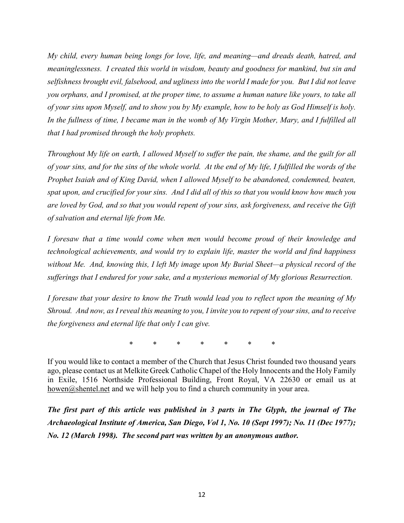My child, every human being longs for love, life, and meaning—and dreads death, hatred, and meaninglessness. I created this world in wisdom, beauty and goodness for mankind, but sin and selfishness brought evil, falsehood, and ugliness into the world I made for you. But I did not leave you orphans, and I promised, at the proper time, to assume a human nature like yours, to take all of your sins upon Myself, and to show you by My example, how to be holy as God Himself is holy. In the fullness of time, I became man in the womb of My Virgin Mother, Mary, and I fulfilled all that I had promised through the holy prophets.

Throughout My life on earth, I allowed Myself to suffer the pain, the shame, and the guilt for all of your sins, and for the sins of the whole world. At the end of My life, I fulfilled the words of the Prophet Isaiah and of King David, when I allowed Myself to be abandoned, condemned, beaten, spat upon, and crucified for your sins. And I did all of this so that you would know how much you are loved by God, and so that you would repent of your sins, ask forgiveness, and receive the Gift of salvation and eternal life from Me.

I foresaw that a time would come when men would become proud of their knowledge and technological achievements, and would try to explain life, master the world and find happiness without Me. And, knowing this, I left My image upon My Burial Sheet—a physical record of the sufferings that I endured for your sake, and a mysterious memorial of My glorious Resurrection.

I foresaw that your desire to know the Truth would lead you to reflect upon the meaning of  $M_V$ Shroud. And now, as I reveal this meaning to you, I invite you to repent of your sins, and to receive the forgiveness and eternal life that only I can give.

\* \* \* \* \* \* \*

If you would like to contact a member of the Church that Jesus Christ founded two thousand years ago, please contact us at Melkite Greek Catholic Chapel of the Holy Innocents and the Holy Family in Exile, 1516 Northside Professional Building, Front Royal, VA 22630 or email us at howen@shentel.net and we will help you to find a church community in your area.

The first part of this article was published in 3 parts in The Glyph, the journal of The Archaeological Institute of America, San Diego, Vol 1, No. 10 (Sept 1997); No. 11 (Dec 1977); No. 12 (March 1998). The second part was written by an anonymous author.